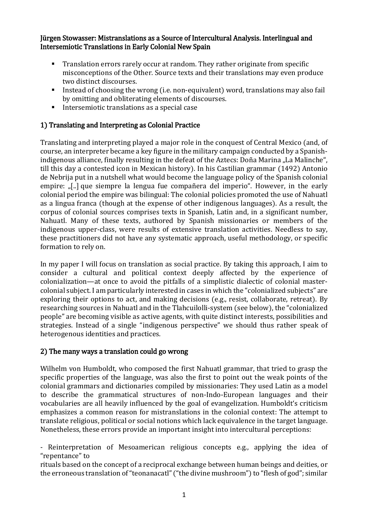Jürgen Stowasser: Mistranslations as a Source of Intercultural Analysis. Interlingual and Intersemiotic Translations in Early Colonial New Spain

- Translation errors rarely occur at random. They rather originate from specific misconceptions of the Other. Source texts and their translations may even produce two distinct discourses.
- Instead of choosing the wrong (i.e. non-equivalent) word, translations may also fail by omitting and obliterating elements of discourses.
- Intersemiotic translations as a special case

## 1) Translating and Interpreting as Colonial Practice

Translating and interpreting played a major role in the conquest of Central Mexico (and, of course, an interpreter became a key figure in the military campaign conducted by a Spanishindigenous alliance, finally resulting in the defeat of the Aztecs: Doña Marina "La Malinche", till this day a contested icon in Mexican history). In his Castilian grammar (1492) Antonio de Nebrija put in a nutshell what would become the language policy of the Spanish colonial empire: "[..] que siempre la lengua fue compañera del imperio". However, in the early colonial period the empire was bilingual: The colonial policies promoted the use of Nahuatl as a lingua franca (though at the expense of other indigenous languages). As a result, the corpus of colonial sources comprises texts in Spanish, Latin and, in a significant number, Nahuatl. Many of these texts, authored by Spanish missionaries or members of the indigenous upper-class, were results of extensive translation activities. Needless to say, these practitioners did not have any systematic approach, useful methodology, or specific formation to rely on.

In my paper I will focus on translation as social practice. By taking this approach, I aim to consider a cultural and political context deeply affected by the experience of colonialization—at once to avoid the pitfalls of a simplistic dialectic of colonial mastercolonial subject. I am particularly interested in cases in which the "colonialized subjects" are exploring their options to act, and making decisions (e.g., resist, collaborate, retreat). By researching sources in Nahuatl and in the Tlahcuilolli-system (see below), the "colonialized people" are becoming visible as active agents, with quite distinct interests, possibilities and strategies. Instead of a single "indigenous perspective" we should thus rather speak of heterogenous identities and practices.

## 2) The many ways a translation could go wrong

Wilhelm von Humboldt, who composed the first Nahuatl grammar, that tried to grasp the specific properties of the language, was also the first to point out the weak points of the colonial grammars and dictionaries compiled by missionaries: They used Latin as a model to describe the grammatical structures of non-Indo-European languages and their vocabularies are all heavily influenced by the goal of evangelization. Humboldt's criticism emphasizes a common reason for mistranslations in the colonial context: The attempt to translate religious, political or social notions which lack equivalence in the target language. Nonetheless, these errors provide an important insight into intercultural perceptions:

- Reinterpretation of Mesoamerican religious concepts e.g., applying the idea of "repentance" to

rituals based on the concept of a reciprocal exchange between human beings and deities, or the erroneous translation of "teonanacatl" ("the divine mushroom") to "flesh of god"; similar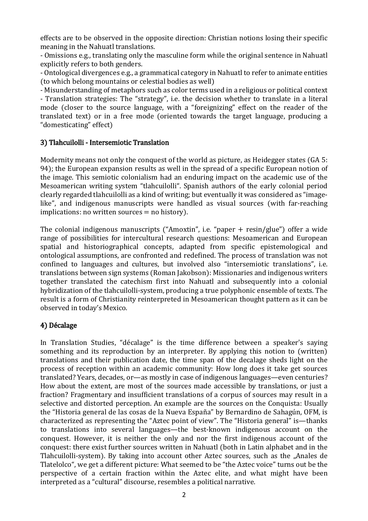effects are to be observed in the opposite direction: Christian notions losing their specific meaning in the Nahuatl translations.

- Omissions e.g., translating only the masculine form while the original sentence in Nahuatl explicitly refers to both genders.

- Ontological divergences e.g., a grammatical category in Nahuatl to refer to animate entities (to which belong mountains or celestial bodies as well)

- Misunderstanding of metaphors such as color terms used in a religious or political context - Translation strategies: The "strategy", i.e. the decision whether to translate in a literal mode (closer to the source language, with a "foreignizing" effect on the reader of the translated text) or in a free mode (oriented towards the target language, producing a "domesticating" effect)

## 3) Tlahcuilolli - Intersemiotic Translation

Modernity means not only the conquest of the world as picture, as Heidegger states (GA 5: 94); the European expansion results as well in the spread of a specific European notion of the image. This semiotic colonialism had an enduring impact on the academic use of the Mesoamerican writing system "tlahcuilolli". Spanish authors of the early colonial period clearly regarded tlahcuilolli as a kind of writing; but eventually it was considered as "imagelike", and indigenous manuscripts were handled as visual sources (with far-reaching  $implications: no written sources = no history.$ 

The colonial indigenous manuscripts ("Amoxtin", i.e. "paper + resin/glue") offer a wide range of possibilities for intercultural research questions: Mesoamerican and European spatial and historiographical concepts, adapted from specific epistemological and ontological assumptions, are confronted and redefined. The process of translation was not confined to languages and cultures, but involved also "intersemiotic translations", i.e. translations between sign systems (Roman Jakobson): Missionaries and indigenous writers together translated the catechism first into Nahuatl and subsequently into a colonial hybridization of the tlahcuilolli-system, producing a true polyphonic ensemble of texts. The result is a form of Christianity reinterpreted in Mesoamerican thought pattern as it can be observed in today's Mexico.

## 4) Décalage

In Translation Studies, "décalage" is the time difference between a speaker's saying something and its reproduction by an interpreter. By applying this notion to (written) translations and their publication date, the time span of the decalage sheds light on the process of reception within an academic community: How long does it take get sources translated? Years, decades, or—as mostly in case of indigenous languages—even centuries? How about the extent, are most of the sources made accessible by translations, or just a fraction? Fragmentary and insufficient translations of a corpus of sources may result in a selective and distorted perception. An example are the sources on the Conquista: Usually the "Historia general de las cosas de la Nueva España" by Bernardino de Sahagún, OFM, is characterized as representing the "Aztec point of view". The "Historia general" is—thanks to translations into several languages—the best-known indigenous account on the conquest. However, it is neither the only and nor the first indigenous account of the conquest: there exist further sources written in Nahuatl (both in Latin alphabet and in the Tlahcuilolli-system). By taking into account other Aztec sources, such as the "Anales de Tlatelolco", we get a different picture: What seemed to be "the Aztec voice" turns out be the perspective of a certain fraction within the Aztec elite, and what might have been interpreted as a "cultural" discourse, resembles a political narrative.